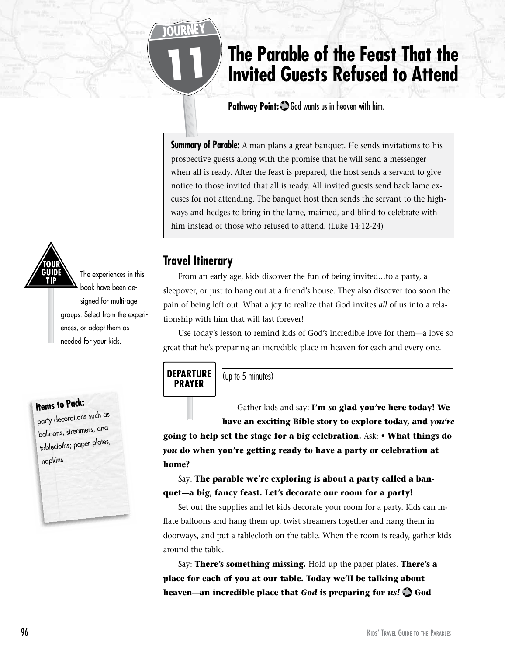# **The Parable of the Feast That the Invited Guests Refused to Attend**

**Pathway Point:** God wants us in heaven with him.

**Summary of Parable:** A man plans a great banquet. He sends invitations to his prospective guests along with the promise that he will send a messenger when all is ready. After the feast is prepared, the host sends a servant to give notice to those invited that all is ready. All invited guests send back lame excuses for not attending. The banquet host then sends the servant to the highways and hedges to bring in the lame, maimed, and blind to celebrate with him instead of those who refused to attend. (Luke 14:12-24)

## **Travel Itinerary**

11

From an early age, kids discover the fun of being invited…to a party, a sleepover, or just to hang out at a friend's house. They also discover too soon the pain of being left out. What a joy to realize that God invites *all* of us into a relationship with him that will last forever!

Use today's lesson to remind kids of God's incredible love for them—a love so great that he's preparing an incredible place in heaven for each and every one.

## **DEPARTURE PRAYER**

(up to 5 minutes)

Gather kids and say: **I'm so glad you're here today! We have an exciting Bible story to explore today, and** *you're*

**going to help set the stage for a big celebration.** Ask: **• What things do**  *you* **do when you're getting ready to have a party or celebration at home?**

Say: **The parable we're exploring is about a party called a banquet—a big, fancy feast. Let's decorate our room for a party!**

Set out the supplies and let kids decorate your room for a party. Kids can inflate balloons and hang them up, twist streamers together and hang them in doorways, and put a tablecloth on the table. When the room is ready, gather kids around the table.

Say: **There's something missing.** Hold up the paper plates. **There's a place for each of you at our table. Today we'll be talking about heaven—an incredible place that** *God* **is preparing for** *us!* **God** 



balloons, streamers, and tablecloths; paper plates, napkins

The experiences in this book have been designed for multi-age groups. Select from the experiences, or adapt them as needed for your kids.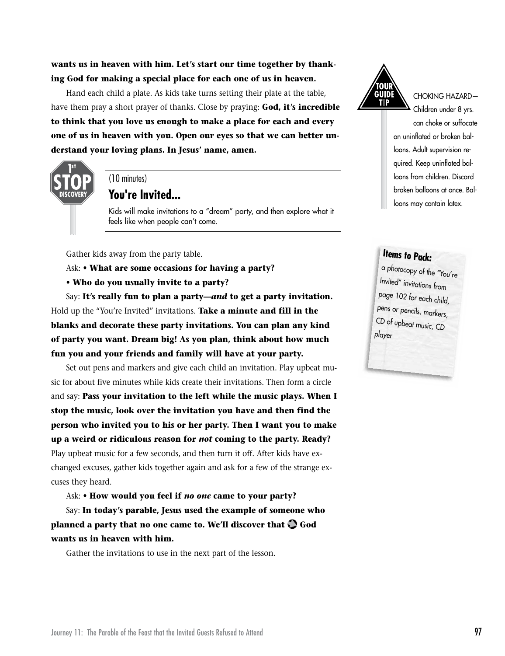Hand each child a plate. As kids take turns setting their plate at the table, have them pray a short prayer of thanks. Close by praying: **God, it's incredible to think that you love us enough to make a place for each and every one of us in heaven with you. Open our eyes so that we can better understand your loving plans. In Jesus' name, amen.**



#### (10 minutes)

### **You're Invited...**

Kids will make invitations to a "dream" party, and then explore what it feels like when people can't come.

Gather kids away from the party table.

Ask: **• What are some occasions for having a party?**

**• Who do you usually invite to a party?**

Say: **It's really fun to plan a party—***and* **to get a party invitation.**  Hold up the "You're Invited" invitations. **Take a minute and fill in the blanks and decorate these party invitations. You can plan any kind of party you want. Dream big! As you plan, think about how much fun you and your friends and family will have at your party.**

Set out pens and markers and give each child an invitation. Play upbeat music for about five minutes while kids create their invitations. Then form a circle and say: **Pass your invitation to the left while the music plays. When I stop the music, look over the invitation you have and then find the person who invited you to his or her party. Then I want you to make up a weird or ridiculous reason for** *not* **coming to the party. Ready?** Play upbeat music for a few seconds, and then turn it off. After kids have exchanged excuses, gather kids together again and ask for a few of the strange excuses they heard.

Ask: **• How would you feel if** *no one* **came to your party?**

Say: **In today's parable, Jesus used the example of someone who planned a party that no one came to. We'll discover that God wants us in heaven with him.**

Gather the invitations to use in the next part of the lesson.



CHOKING HAZARD—

Children under 8 yrs. can choke or suffocate on uninflated or broken balloons. Adult supervision required. Keep uninflated balloons from children. Discard broken balloons at once. Balloons may contain latex.

# **Items to Pack:**

a photocopy of the "You're Invited" invitations from page 102 for each child, pens or pencils, markers, CD of upbeat music, CD player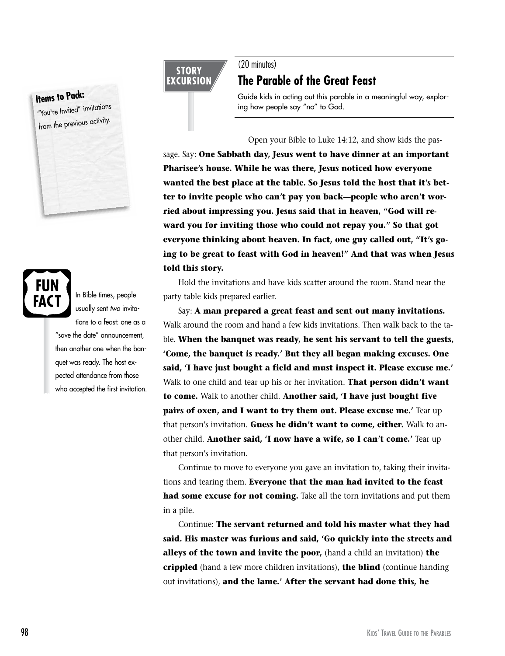# **Items to Pack:**

"You're Invited" invitations from the previous activity.

# FAC 1

tions to a feast: one as a "save the date" announcement, then another one when the banquet was ready. The host expected attendance from those who accepted the first invitation.

In Bible times, people usually sent *two* invita-

#### **STORY EXCURSION**

#### (20 minutes)

# **The Parable of the Great Feast**

Guide kids in acting out this parable in a meaningful way, exploring how people say "no" to God.

#### Open your Bible to Luke 14:12, and show kids the pas-

sage. Say: **One Sabbath day, Jesus went to have dinner at an important Pharisee's house. While he was there, Jesus noticed how everyone wanted the best place at the table. So Jesus told the host that it's better to invite people who can't pay you back—people who aren't worried about impressing you. Jesus said that in heaven, "God will reward you for inviting those who could not repay you." So that got everyone thinking about heaven. In fact, one guy called out, "It's going to be great to feast with God in heaven!" And that was when Jesus told this story.**

Hold the invitations and have kids scatter around the room. Stand near the party table kids prepared earlier.

Say: **A man prepared a great feast and sent out many invitations.** Walk around the room and hand a few kids invitations. Then walk back to the table. **When the banquet was ready, he sent his servant to tell the guests, 'Come, the banquet is ready.' But they all began making excuses. One said, 'I have just bought a field and must inspect it. Please excuse me.'**  Walk to one child and tear up his or her invitation. **That person didn't want to come.** Walk to another child. **Another said, 'I have just bought five pairs of oxen, and I want to try them out. Please excuse me.'** Tear up that person's invitation. **Guess he didn't want to come, either.** Walk to another child. **Another said, 'I now have a wife, so I can't come.'** Tear up that person's invitation.

Continue to move to everyone you gave an invitation to, taking their invitations and tearing them. **Everyone that the man had invited to the feast had some excuse for not coming.** Take all the torn invitations and put them in a pile.

Continue: **The servant returned and told his master what they had said. His master was furious and said, 'Go quickly into the streets and alleys of the town and invite the poor,** (hand a child an invitation) **the crippled** (hand a few more children invitations), **the blind** (continue handing out invitations), **and the lame.' After the servant had done this, he**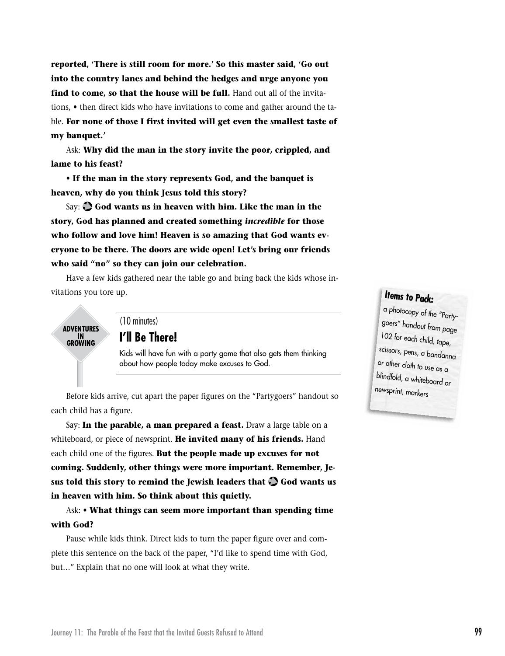**reported, 'There is still room for more.' So this master said, 'Go out into the country lanes and behind the hedges and urge anyone you**  find to come, so that the house will be full. Hand out all of the invitations, **•** then direct kids who have invitations to come and gather around the table. **For none of those I first invited will get even the smallest taste of my banquet.'**

Ask: **Why did the man in the story invite the poor, crippled, and lame to his feast?**

**• If the man in the story represents God, and the banquet is heaven, why do you think Jesus told this story?**

Say: **God wants us in heaven with him. Like the man in the story, God has planned and created something** *incredible* **for those who follow and love him! Heaven is so amazing that God wants everyone to be there. The doors are wide open! Let's bring our friends who said "no" so they can join our celebration.**

Have a few kids gathered near the table go and bring back the kids whose invitations you tore up.

**ADVENTURES** IN<br>GROWING

(10 minutes)

#### **I'll Be There!**

Kids will have fun with a party game that also gets them thinking about how people today make excuses to God.

Before kids arrive, cut apart the paper figures on the "Partygoers" handout so each child has a figure.

Say: **In the parable, a man prepared a feast.** Draw a large table on a whiteboard, or piece of newsprint. **He invited many of his friends.** Hand each child one of the figures. **But the people made up excuses for not coming. Suddenly, other things were more important. Remember, Jesus told this story to remind the Jewish leaders that God wants us in heaven with him. So think about this quietly.**

Ask: **• What things can seem more important than spending time with God?**

Pause while kids think. Direct kids to turn the paper figure over and complete this sentence on the back of the paper, "I'd like to spend time with God, but…" Explain that no one will look at what they write.

# **Items to Pack:**

a photocopy of the "Partygoers" handout from page 102 for each child, tape, scissors, pens, a bandanna or other cloth to use as a blindfold, a whiteboard or newsprint, markers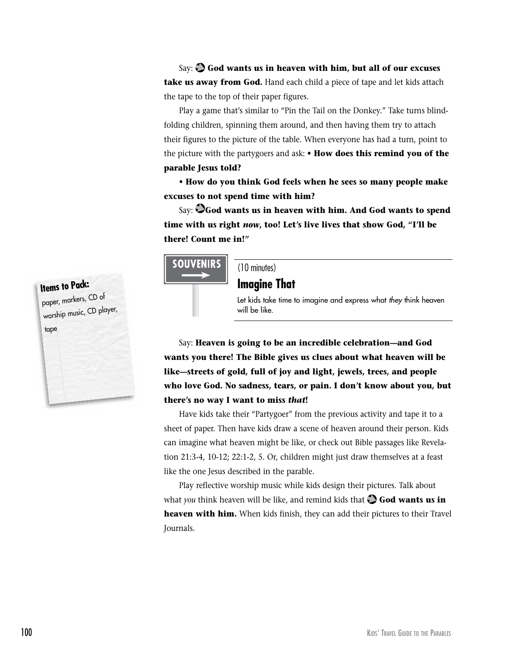Say: **God wants us in heaven with him, but all of our excuses take us away from God.** Hand each child a piece of tape and let kids attach the tape to the top of their paper figures.

Play a game that's similar to "Pin the Tail on the Donkey." Take turns blindfolding children, spinning them around, and then having them try to attach their figures to the picture of the table. When everyone has had a turn, point to the picture with the partygoers and ask: **• How does this remind you of the parable Jesus told?**

**• How do you think God feels when he sees so many people make excuses to not spend time with him?**

Say: **God wants us in heaven with him. And God wants to spend time with us right** *now***, too! Let's live lives that show God, "I'll be there! Count me in!"**



(10 minutes)

**Imagine That**

Let kids take time to imagine and express what *they* think heaven will be like.

Say: **Heaven is going to be an incredible celebration—and God wants you there! The Bible gives us clues about what heaven will be like—streets of gold, full of joy and light, jewels, trees, and people who love God. No sadness, tears, or pain. I don't know about you, but there's no way I want to miss** *that***!**

Have kids take their "Partygoer" from the previous activity and tape it to a sheet of paper. Then have kids draw a scene of heaven around their person. Kids can imagine what heaven might be like, or check out Bible passages like Revelation 21:3-4, 10-12; 22:1-2, 5. Or, children might just draw themselves at a feast like the one Jesus described in the parable.

Play reflective worship music while kids design their pictures. Talk about what *you* think heaven will be like, and remind kids that  $\bigcirc$  **God wants us in heaven with him.** When kids finish, they can add their pictures to their Travel Journals.

# **Items to Pack:** paper, markers, CD of worship music, CD player, tape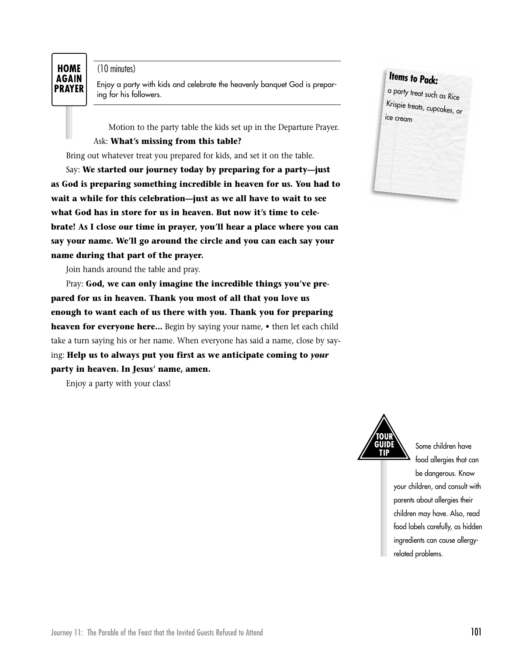#### **HOME AGAIN PRAYER**

(10 minutes)

Enjoy a party with kids and celebrate the heavenly banquet God is preparing for his followers.

Motion to the party table the kids set up in the Departure Prayer.

#### Ask: **What's missing from this table?**

Bring out whatever treat you prepared for kids, and set it on the table.

Say: **We started our journey today by preparing for a party—just as God is preparing something incredible in heaven for us. You had to wait a while for this celebration—just as we all have to wait to see what God has in store for us in heaven. But now it's time to celebrate! As I close our time in prayer, you'll hear a place where you can say your name. We'll go around the circle and you can each say your name during that part of the prayer.**

Join hands around the table and pray.

Pray: **God, we can only imagine the incredible things you've prepared for us in heaven. Thank you most of all that you love us enough to want each of us there with you. Thank you for preparing heaven for everyone here…** Begin by saying your name, **•** then let each child take a turn saying his or her name. When everyone has said a name, close by saying: **Help us to always put you first as we anticipate coming to** *your* **party in heaven. In Jesus' name, amen.**

Enjoy a party with your class!





Some children have food allergies that can be dangerous. Know your children, and consult with parents about allergies their children may have. Also, read food labels carefully, as hidden ingredients can cause allergyrelated problems.